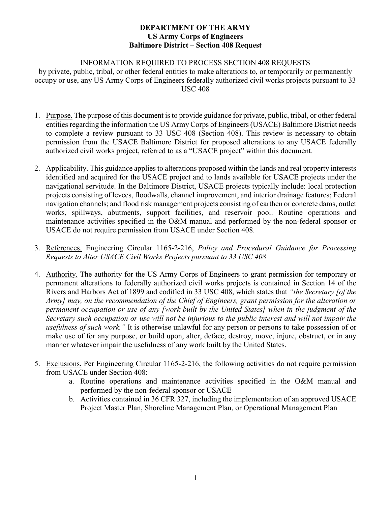# INFORMATION REQUIRED TO PROCESS SECTION 408 REQUESTS

by private, public, tribal, or other federal entities to make alterations to, or temporarily or permanently occupy or use, any US Army Corps of Engineers federally authorized civil works projects pursuant to 33 USC 408

- 1. Purpose. The purpose of this document is to provide guidance for private, public, tribal, or other federal entities regarding the information the US Army Corps of Engineers (USACE) Baltimore District needs to complete a review pursuant to 33 USC 408 (Section 408). This review is necessary to obtain permission from the USACE Baltimore District for proposed alterations to any USACE federally authorized civil works project, referred to as a "USACE project" within this document.
- 2. Applicability. This guidance applies to alterations proposed within the lands and real property interests identified and acquired for the USACE project and to lands available for USACE projects under the navigational servitude. In the Baltimore District, USACE projects typically include: local protection projects consisting of levees, floodwalls, channel improvement, and interior drainage features; Federal navigation channels; and flood risk management projects consisting of earthen or concrete dams, outlet works, spillways, abutments, support facilities, and reservoir pool. Routine operations and maintenance activities specified in the O&M manual and performed by the non-federal sponsor or USACE do not require permission from USACE under Section 408.
- 3. References. Engineering Circular 1165-2-216, *Policy and Procedural Guidance for Processing Requests to Alter USACE Civil Works Projects pursuant to 33 USC 408*
- 4. Authority. The authority for the US Army Corps of Engineers to grant permission for temporary or permanent alterations to federally authorized civil works projects is contained in Section 14 of the Rivers and Harbors Act of 1899 and codified in 33 USC 408, which states that *"the Secretary [of the Army] may, on the recommendation of the Chief of Engineers, grant permission for the alteration or permanent occupation or use of any [work built by the United States] when in the judgment of the Secretary such occupation or use will not be injurious to the public interest and will not impair the usefulness of such work."* It is otherwise unlawful for any person or persons to take possession of or make use of for any purpose, or build upon, alter, deface, destroy, move, injure, obstruct, or in any manner whatever impair the usefulness of any work built by the United States.
- 5. Exclusions. Per Engineering Circular 1165-2-216, the following activities do not require permission from USACE under Section 408:
	- a. Routine operations and maintenance activities specified in the O&M manual and performed by the non-federal sponsor or USACE
	- b. Activities contained in 36 CFR 327, including the implementation of an approved USACE Project Master Plan, Shoreline Management Plan, or Operational Management Plan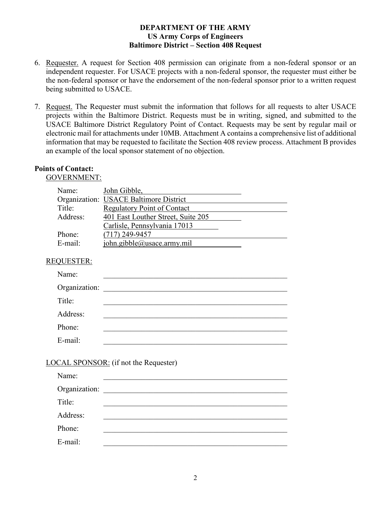- 6. Requester. A request for Section 408 permission can originate from a non-federal sponsor or an independent requester. For USACE projects with a non-federal sponsor, the requester must either be the non-federal sponsor or have the endorsement of the non-federal sponsor prior to a written request being submitted to USACE.
- 7. Request. The Requester must submit the information that follows for all requests to alter USACE projects within the Baltimore District. Requests must be in writing, signed, and submitted to the USACE Baltimore District Regulatory Point of Contact. Requests may be sent by regular mail or electronic mail for attachments under 10MB. Attachment A contains a comprehensive list of additional information that may be requested to facilitate the Section 408 review process. Attachment B provides an example of the local sponsor statement of no objection.

# **Points of Contact:**

GOVERNMENT:

| Name:    | John Gibble,                           |  |
|----------|----------------------------------------|--|
|          | Organization: USACE Baltimore District |  |
| Title:   | <b>Regulatory Point of Contact</b>     |  |
| Address: | 401 East Louther Street, Suite 205     |  |
|          | Carlisle, Pennsylvania 17013           |  |
| Phone:   | $(717)$ 249-9457                       |  |
| E-mail:  | john.gibble@usace. army.mil            |  |

# REQUESTER:

| Name:         |  |
|---------------|--|
| Organization: |  |
| Title:        |  |
| Address:      |  |
| Phone:        |  |
| E-mail:       |  |

# LOCAL SPONSOR: (if not the Requester)

| Name:    |                                                                                                                                                                                                                               |
|----------|-------------------------------------------------------------------------------------------------------------------------------------------------------------------------------------------------------------------------------|
|          | Organization: New York Street, New York Street, New York Street, New York Street, New York Street, New York Street, New York Street, New York Street, New York Street, New York Street, New York Street, New York Street, New |
| Title:   |                                                                                                                                                                                                                               |
| Address: |                                                                                                                                                                                                                               |
| Phone:   |                                                                                                                                                                                                                               |
| E-mail:  |                                                                                                                                                                                                                               |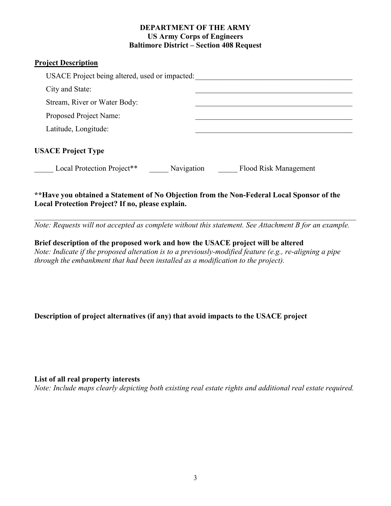# **Project Description**

| USACE Project being altered, used or impacted: |            |                                                                                           |
|------------------------------------------------|------------|-------------------------------------------------------------------------------------------|
| City and State:                                |            |                                                                                           |
| Stream, River or Water Body:                   |            |                                                                                           |
| Proposed Project Name:                         |            |                                                                                           |
| Latitude, Longitude:                           |            |                                                                                           |
| <b>USACE Project Type</b>                      |            |                                                                                           |
| Local Protection Project**                     | Navigation | Flood Risk Management                                                                     |
|                                                |            | **Have you obtained a Statement of No Objection from the Non-Federal Local Sponsor of the |

# **Local Protection Project? If no, please explain.**  *\_\_\_\_\_\_\_\_\_\_\_\_\_\_\_\_\_\_\_\_\_\_\_\_\_\_\_\_\_\_\_\_\_\_\_\_\_\_\_\_\_\_\_\_\_\_\_\_\_\_\_\_\_\_\_\_\_\_\_\_\_\_\_\_\_\_\_\_\_\_\_\_\_\_\_\_\_\_\_\_\_\_\_\_*

*Note: Requests will not accepted as complete without this statement. See Attachment B for an example.*

**Brief description of the proposed work and how the USACE project will be altered**  *Note: Indicate if the proposed alteration is to a previously-modified feature (e.g., re-aligning a pipe through the embankment that had been installed as a modification to the project).* 

# **Description of project alternatives (if any) that avoid impacts to the USACE project**

#### **List of all real property interests**

*Note: Include maps clearly depicting both existing real estate rights and additional real estate required.*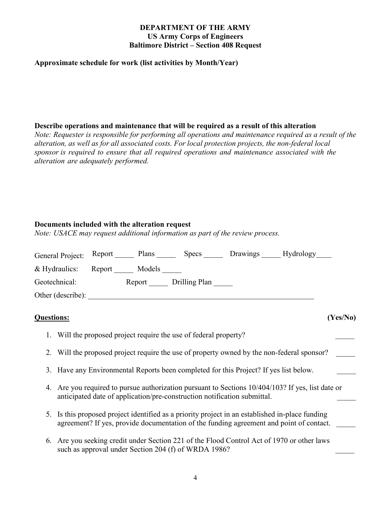#### **Approximate schedule for work (list activities by Month/Year)**

#### **Describe operations and maintenance that will be required as a result of this alteration**

*Note: Requester is responsible for performing all operations and maintenance required as a result of the alteration, as well as for all associated costs. For local protection projects, the non-federal local sponsor is required to ensure that all required operations and maintenance associated with the alteration are adequately performed.* 

#### **Documents included with the alteration request**

*Note: USACE may request additional information as part of the review process.*

| General Project: Report |        | Plans  | <b>Specs</b>  | Drawings | Hydrology |
|-------------------------|--------|--------|---------------|----------|-----------|
| & Hydraulics:           | Report | Models |               |          |           |
| Geotechnical:           |        | Report | Drilling Plan |          |           |
| Other (describe):       |        |        |               |          |           |

#### **Questions: (Yes/No)**

- 1. Will the proposed project require the use of federal property?
- 2. Will the proposed project require the use of property owned by the non-federal sponsor?
- 3. Have any Environmental Reports been completed for this Project? If yes list below.
- 4. Are you required to pursue authorization pursuant to Sections 10/404/103? If yes, list date or anticipated date of application/pre-construction notification submittal.
- 5. Is this proposed project identified as a priority project in an established in-place funding agreement? If yes, provide documentation of the funding agreement and point of contact.
- 6. Are you seeking credit under Section 221 of the Flood Control Act of 1970 or other laws such as approval under Section 204 (f) of WRDA 1986?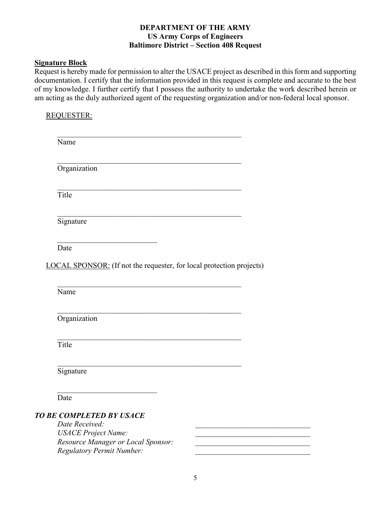#### **Signature Block**

Request is hereby made for permission to alter the USACE project as described in this form and supporting documentation. I certify that the information provided in this request is complete and accurate to the best of my knowledge. I further certify that I possess the authority to undertake the work described herein or am acting as the duly authorized agent of the requesting organization and/or non-federal local sponsor.

# REQUESTER:

| Name           |                                                                                                     |  |  |
|----------------|-----------------------------------------------------------------------------------------------------|--|--|
| Organization   |                                                                                                     |  |  |
| Title          |                                                                                                     |  |  |
| Signature      |                                                                                                     |  |  |
| Date           |                                                                                                     |  |  |
|                | LOCAL SPONSOR: (If not the requester, for local protection projects)                                |  |  |
| Name           |                                                                                                     |  |  |
|                |                                                                                                     |  |  |
| Organization   |                                                                                                     |  |  |
| Title          |                                                                                                     |  |  |
| Signature      |                                                                                                     |  |  |
| Date           |                                                                                                     |  |  |
| Date Received: | <b>TO BE COMPLETED BY USACE</b><br><b>USACE Project Name:</b><br>Resource Manager or Local Sponsor: |  |  |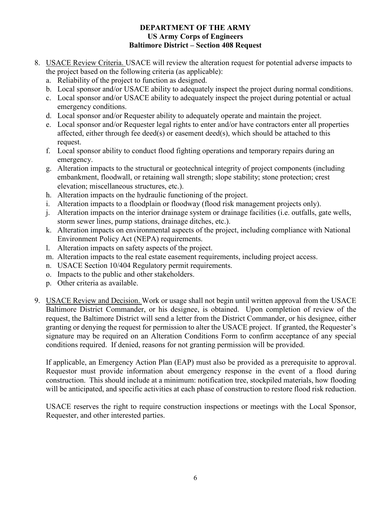- 8. USACE Review Criteria. USACE will review the alteration request for potential adverse impacts to the project based on the following criteria (as applicable):
	- a. Reliability of the project to function as designed.
	- b. Local sponsor and/or USACE ability to adequately inspect the project during normal conditions.
	- c. Local sponsor and/or USACE ability to adequately inspect the project during potential or actual emergency conditions.
	- d. Local sponsor and/or Requester ability to adequately operate and maintain the project.
	- e. Local sponsor and/or Requester legal rights to enter and/or have contractors enter all properties affected, either through fee deed(s) or easement deed(s), which should be attached to this request.
	- f. Local sponsor ability to conduct flood fighting operations and temporary repairs during an emergency.
	- g. Alteration impacts to the structural or geotechnical integrity of project components (including embankment, floodwall, or retaining wall strength; slope stability; stone protection; crest elevation; miscellaneous structures, etc.).
	- h. Alteration impacts on the hydraulic functioning of the project.
	- i. Alteration impacts to a floodplain or floodway (flood risk management projects only).
	- j. Alteration impacts on the interior drainage system or drainage facilities (i.e. outfalls, gate wells, storm sewer lines, pump stations, drainage ditches, etc.).
	- k. Alteration impacts on environmental aspects of the project, including compliance with National Environment Policy Act (NEPA) requirements.
	- l. Alteration impacts on safety aspects of the project.
	- m. Alteration impacts to the real estate easement requirements, including project access.
	- n. USACE Section 10/404 Regulatory permit requirements.
	- o. Impacts to the public and other stakeholders.
	- p. Other criteria as available.
- 9. USACE Review and Decision. Work or usage shall not begin until written approval from the USACE Baltimore District Commander, or his designee, is obtained. Upon completion of review of the request, the Baltimore District will send a letter from the District Commander, or his designee, either granting or denying the request for permission to alter the USACE project. If granted, the Requester's signature may be required on an Alteration Conditions Form to confirm acceptance of any special conditions required. If denied, reasons for not granting permission will be provided.

If applicable, an Emergency Action Plan (EAP) must also be provided as a prerequisite to approval. Requestor must provide information about emergency response in the event of a flood during construction. This should include at a minimum: notification tree, stockpiled materials, how flooding will be anticipated, and specific activities at each phase of construction to restore flood risk reduction.

USACE reserves the right to require construction inspections or meetings with the Local Sponsor, Requester, and other interested parties.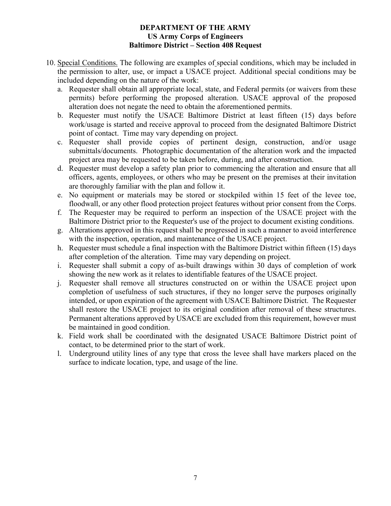- 10. Special Conditions. The following are examples of special conditions, which may be included in the permission to alter, use, or impact a USACE project. Additional special conditions may be included depending on the nature of the work:
	- a. Requester shall obtain all appropriate local, state, and Federal permits (or waivers from these permits) before performing the proposed alteration. USACE approval of the proposed alteration does not negate the need to obtain the aforementioned permits.
	- b. Requester must notify the USACE Baltimore District at least fifteen (15) days before work/usage is started and receive approval to proceed from the designated Baltimore District point of contact. Time may vary depending on project.
	- c. Requester shall provide copies of pertinent design, construction, and/or usage submittals/documents. Photographic documentation of the alteration work and the impacted project area may be requested to be taken before, during, and after construction.
	- d. Requester must develop a safety plan prior to commencing the alteration and ensure that all officers, agents, employees, or others who may be present on the premises at their invitation are thoroughly familiar with the plan and follow it.
	- e. No equipment or materials may be stored or stockpiled within 15 feet of the levee toe, floodwall, or any other flood protection project features without prior consent from the Corps.
	- f. The Requester may be required to perform an inspection of the USACE project with the Baltimore District prior to the Requester's use of the project to document existing conditions.
	- g. Alterations approved in this request shall be progressed in such a manner to avoid interference with the inspection, operation, and maintenance of the USACE project.
	- h. Requester must schedule a final inspection with the Baltimore District within fifteen (15) days after completion of the alteration. Time may vary depending on project.
	- i. Requester shall submit a copy of as-built drawings within 30 days of completion of work showing the new work as it relates to identifiable features of the USACE project.
	- j. Requester shall remove all structures constructed on or within the USACE project upon completion of usefulness of such structures, if they no longer serve the purposes originally intended, or upon expiration of the agreement with USACE Baltimore District. The Requester shall restore the USACE project to its original condition after removal of these structures. Permanent alterations approved by USACE are excluded from this requirement, however must be maintained in good condition.
	- k. Field work shall be coordinated with the designated USACE Baltimore District point of contact, to be determined prior to the start of work.
	- l. Underground utility lines of any type that cross the levee shall have markers placed on the surface to indicate location, type, and usage of the line.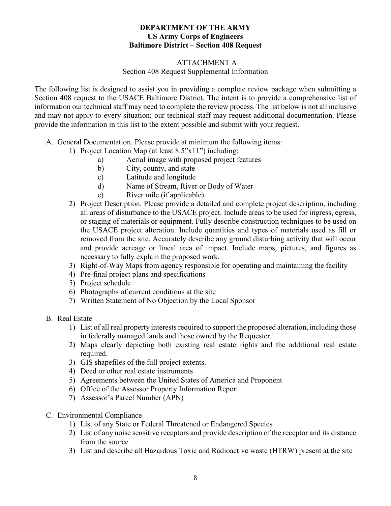# ATTACHMENT A

# Section 408 Request Supplemental Information

The following list is designed to assist you in providing a complete review package when submitting a Section 408 request to the USACE Baltimore District. The intent is to provide a comprehensive list of information our technical staff may need to complete the review process. The list below is not all inclusive and may not apply to every situation; our technical staff may request additional documentation. Please provide the information in this list to the extent possible and submit with your request.

- A. General Documentation. Please provide at minimum the following items:
	- 1) Project Location Map (at least 8.5"x11") including:
		- a) Aerial image with proposed project features
		- b) City, county, and state
		- c) Latitude and longitude
		- d) Name of Stream, River or Body of Water
		- e) River mile (if applicable)
	- 2) Project Description. Please provide a detailed and complete project description, including all areas of disturbance to the USACE project. Include areas to be used for ingress, egress, or staging of materials or equipment. Fully describe construction techniques to be used on the USACE project alteration. Include quantities and types of materials used as fill or removed from the site. Accurately describe any ground disturbing activity that will occur and provide acreage or lineal area of impact. Include maps, pictures, and figures as necessary to fully explain the proposed work.
	- 3) Right-of-Way Maps from agency responsible for operating and maintaining the facility
	- 4) Pre-final project plans and specifications
	- 5) Project schedule
	- 6) Photographs of current conditions at the site
	- 7) Written Statement of No Objection by the Local Sponsor
- B. Real Estate
	- 1) List of all real property interests required to support the proposed alteration, including those in federally managed lands and those owned by the Requester.
	- 2) Maps clearly depicting both existing real estate rights and the additional real estate required.
	- 3) GIS shapefiles of the full project extents.
	- 4) Deed or other real estate instruments
	- 5) Agreements between the United States of America and Proponent
	- 6) Office of the Assessor Property Information Report
	- 7) Assessor's Parcel Number (APN)
- C. Environmental Compliance
	- 1) List of any State or Federal Threatened or Endangered Species
	- 2) List of any noise sensitive receptors and provide description of the receptor and its distance from the source
	- 3) List and describe all Hazardous Toxic and Radioactive waste (HTRW) present at the site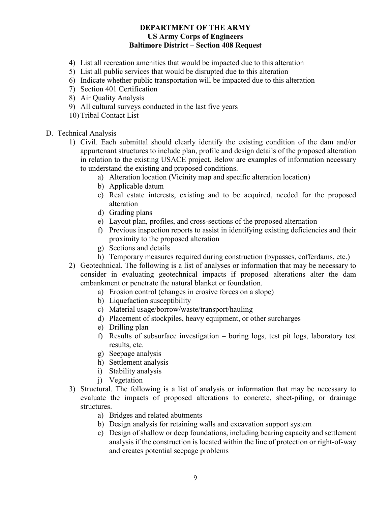- 4) List all recreation amenities that would be impacted due to this alteration
- 5) List all public services that would be disrupted due to this alteration
- 6) Indicate whether public transportation will be impacted due to this alteration
- 7) Section 401 Certification
- 8) Air Quality Analysis
- 9) All cultural surveys conducted in the last five years
- 10) Tribal Contact List
- D. Technical Analysis
	- 1) Civil. Each submittal should clearly identify the existing condition of the dam and/or appurtenant structures to include plan, profile and design details of the proposed alteration in relation to the existing USACE project. Below are examples of information necessary to understand the existing and proposed conditions.
		- a) Alteration location (Vicinity map and specific alteration location)
		- b) Applicable datum
		- c) Real estate interests, existing and to be acquired, needed for the proposed alteration
		- d) Grading plans
		- e) Layout plan, profiles, and cross-sections of the proposed alternation
		- f) Previous inspection reports to assist in identifying existing deficiencies and their proximity to the proposed alteration
		- g) Sections and details
		- h) Temporary measures required during construction (bypasses, cofferdams, etc.)
	- 2) Geotechnical. The following is a list of analyses or information that may be necessary to consider in evaluating geotechnical impacts if proposed alterations alter the dam embankment or penetrate the natural blanket or foundation.
		- a) Erosion control (changes in erosive forces on a slope)
		- b) Liquefaction susceptibility
		- c) Material usage/borrow/waste/transport/hauling
		- d) Placement of stockpiles, heavy equipment, or other surcharges
		- e) Drilling plan
		- f) Results of subsurface investigation boring logs, test pit logs, laboratory test results, etc.
		- g) Seepage analysis
		- h) Settlement analysis
		- i) Stability analysis
		- j) Vegetation
	- 3) Structural. The following is a list of analysis or information that may be necessary to evaluate the impacts of proposed alterations to concrete, sheet-piling, or drainage structures.
		- a) Bridges and related abutments
		- b) Design analysis for retaining walls and excavation support system
		- c) Design of shallow or deep foundations, including bearing capacity and settlement analysis if the construction is located within the line of protection or right-of-way and creates potential seepage problems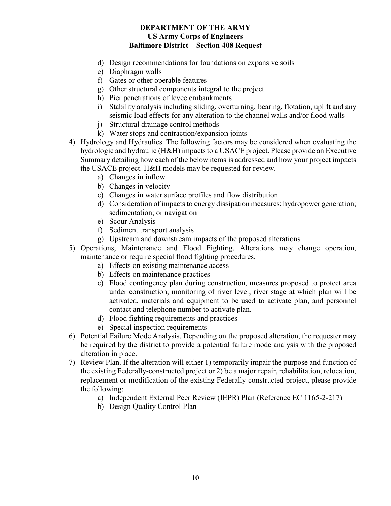- d) Design recommendations for foundations on expansive soils
- e) Diaphragm walls
- f) Gates or other operable features
- g) Other structural components integral to the project
- h) Pier penetrations of levee embankments
- i) Stability analysis including sliding, overturning, bearing, flotation, uplift and any seismic load effects for any alteration to the channel walls and/or flood walls
- j) Structural drainage control methods
- k) Water stops and contraction/expansion joints
- 4) Hydrology and Hydraulics. The following factors may be considered when evaluating the hydrologic and hydraulic (H&H) impacts to a USACE project. Please provide an Executive Summary detailing how each of the below items is addressed and how your project impacts the USACE project. H&H models may be requested for review.
	- a) Changes in inflow
	- b) Changes in velocity
	- c) Changes in water surface profiles and flow distribution
	- d) Consideration of impacts to energy dissipation measures; hydropower generation; sedimentation; or navigation
	- e) Scour Analysis
	- f) Sediment transport analysis
	- g) Upstream and downstream impacts of the proposed alterations
- 5) Operations, Maintenance and Flood Fighting. Alterations may change operation, maintenance or require special flood fighting procedures.
	- a) Effects on existing maintenance access
	- b) Effects on maintenance practices
	- c) Flood contingency plan during construction, measures proposed to protect area under construction, monitoring of river level, river stage at which plan will be activated, materials and equipment to be used to activate plan, and personnel contact and telephone number to activate plan.
	- d) Flood fighting requirements and practices
	- e) Special inspection requirements
- 6) Potential Failure Mode Analysis. Depending on the proposed alteration, the requester may be required by the district to provide a potential failure mode analysis with the proposed alteration in place.
- 7) Review Plan. If the alteration will either 1) temporarily impair the purpose and function of the existing Federally-constructed project or 2) be a major repair, rehabilitation, relocation, replacement or modification of the existing Federally-constructed project, please provide the following:
	- a) Independent External Peer Review (IEPR) Plan (Reference EC 1165-2-217)
	- b) Design Quality Control Plan